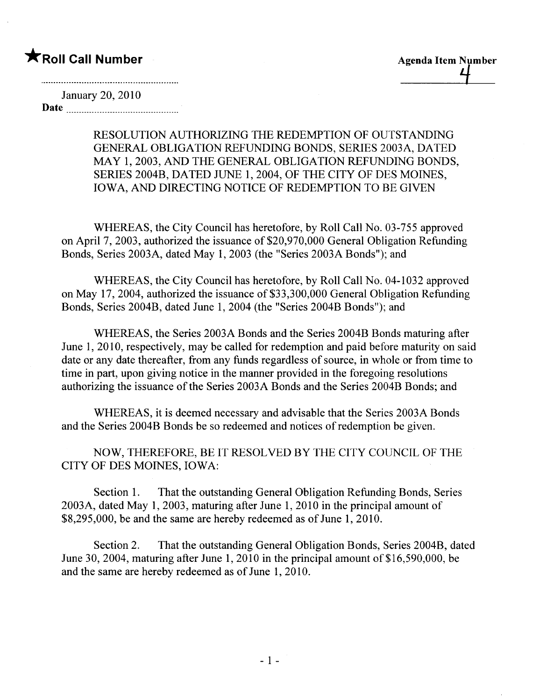## \*Roll Call Number Agenda Item Number

January 20,2010 Date

> RESOLUTION AUTHORIZING THE REDEMPTION OF OUTSTANDING GENERAL OBLIGATION REFUNDING BONDS, SERIES 2003A, DATED MAY 1,2003, AND THE GENERAL OBLIGATION REFUNDING BONDS, SERIES 2004B, DATED JUNE 1,2004, OF THE CITY OF DES MOINES, IOWA, AND DIRECTING NOTICE OF REDEMPTION TO BE GIVEN

WHEREAS, the City Council has heretofore, by Roll Call No. 03-755 approved on April 7, 2003, authorized the issuance of \$20,970,000 General Obligation Refunding Bonds, Series 2003A, dated May 1,2003 (the "Series 2003A Bonds"); and

WHEREAS, the City Council has heretofore, by Roll Call No. 04-1032 approved on May 17, 2004, authorized the issuance of \$33,300,000 General Obligation Refunding Bonds, Series 2004B, dated June 1,2004 (the "Series 2004B Bonds"); and

WHEREAS, the Series 2003A Bonds and the Series 2004B Bonds maturing after June 1,2010, respectively, may be called for redemption and paid before maturity on said date or any date thereafter, from any funds regardless of source, in whole or from time to time in part, upon giving notice in the manner provided in the foregoing resolutions authorizing the issuance of the Series 2003A Bonds and the Series 2004B Bonds; and

WHEREAS, it is deemed necessary and advisable that the Series 2003A Bonds and the Series 2004B Bonds be so redeemed and notices of redemption be given.

NOW, THEREFORE, BE IT RESOLVED BY THE CITY COUNCIL OF THE CITY OF DES MOINES, IOWA:

Section 1. That the outstanding General Obligation Refunding Bonds, Series 2003A, dated May 1,2003, maturing after June 1,2010 in the principal amount of \$8,295,000, be and the same are hereby redeemed as of June 1, 2010.

Section 2. That the outstanding General Obligation Bonds, Series 2004B, dated June 30, 2004, maturing after June 1, 2010 in the principal amount of  $$16,590,000$ , be and the same are hereby redeemed as of June 1, 2010.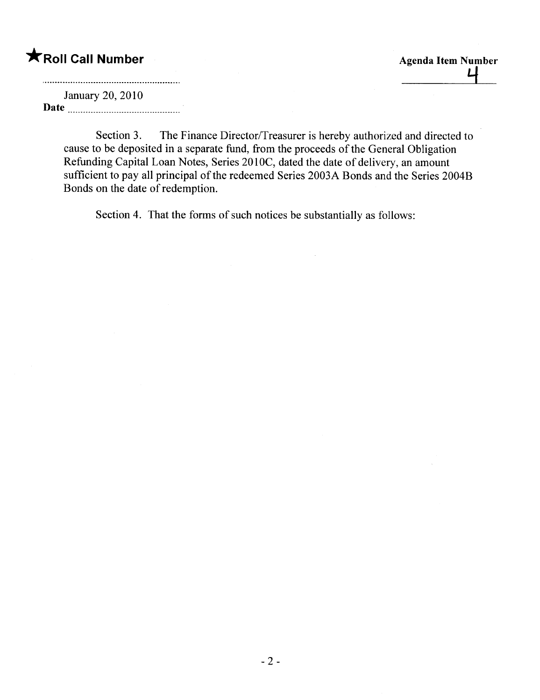\*Roll Call Number<br>
Lensen: 20, 2010

January 20,2010 Date

> Section 3. The Finance Director/Treasurer is hereby authorized and directed to cause to be deposited in a separate fund, from the proceeds of the General Obligation Refunding Capital Loan Notes, Series 201OC, dated the date of delivery, an amount sufficient to pay all principal of the redeemed Series 2003A Bonds and the Series 2004B Bonds on the date of redemption.

> > $\bar{z}$

Section 4. That the forms of such notices be substantially as follows: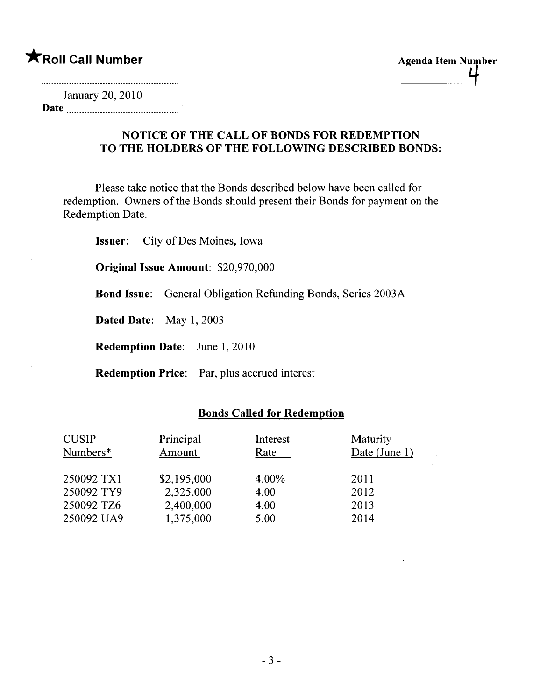January 20, 2010 Date

### NOTICE OF THE CALL OF BONDS FOR REDEMPTION TO THE HOLDERS OF THE FOLLOWING DESCRIBED BONDS:

Please take notice that the Bonds described below have been called for redemption. Owners of the Bonds should present their Bonds for payment on the Redemption Date.

Issuer: City of Des Moines, Iowa

Original Issue Amount: \$20,970,000

Bond Issue: General Obligation Refunding Bonds, Series 2003A

Dated Date: May 1, 2003

Redemption Date: June 1, 2010

Redemption Price: Par, plus accrued interest

### Bonds Called for Redemption

| <b>CUSIP</b><br>Numbers* | Principal<br>Amount | Interest<br>Rate | Maturity<br>Date (June 1) |
|--------------------------|---------------------|------------------|---------------------------|
| 250092 TX1               | \$2,195,000         | 4.00%            | 2011                      |
| 250092 TY9               | 2,325,000           | 4.00             | 2012                      |
| 250092 TZ6               | 2,400,000           | 4.00             | 2013                      |
| 250092 UA9               | 1,375,000           | 5.00             | 2014                      |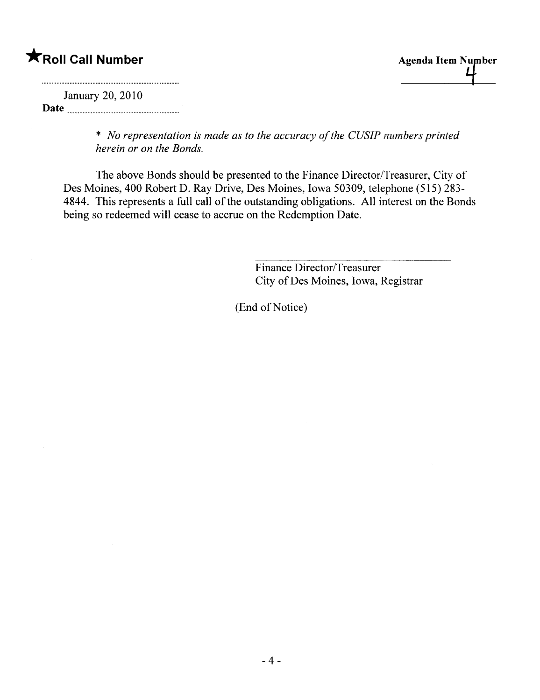# **\***Roll Call Number Agenda Item Number

January 20, 2010 Date

> \* No representation is made as to the accuracy of the CUSIP numbers printed herein or on the Bonds.

The above Bonds should be presented to the Finance Director/Treasurer, City of Des Moines, 400 Robert D. Ray Drive, Des Moines, Iowa 50309, telephone (515) 283- 4844. This represents a full call of the outstanding obligations. All interest on the Bonds being so redeemed will cease to accrue on the Redemption Date.

> Finance Director/Treasurer City of Des Moines, Iowa, Registrar

(End of Notice)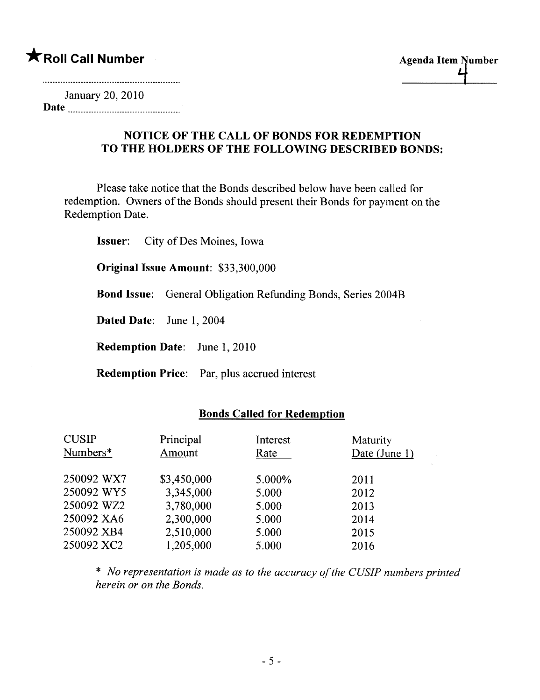# \*Roll Call Number Agenda Item Number

January 20, 2010 Date

#### NOTICE OF THE CALL OF BONDS FOR REDEMPTION TO THE HOLDERS OF THE FOLLOWING DESCRIBED BONDS:

Please take notice that the Bonds described below have been called for redemption. Owners of the Bonds should present their Bonds for payment on the Redemption Date.

Issuer: City of Des Moines, Iowa

Original Issue Amount: \$33,300,000

Bond Issue: General Obligation Refunding Bonds, Series 2004B

Dated Date: June 1, 2004

Redemption Date: June 1, 2010

Redemption Price: Par, plus accrued interest

#### Bonds Called for Redemption

| <b>CUSIP</b> | Principal   | Interest | Maturity      |
|--------------|-------------|----------|---------------|
| Numbers*     | Amount      | Rate     | Date (June 1) |
| 250092 WX7   | \$3,450,000 | 5.000%   | 2011          |
| 250092 WY5   | 3,345,000   | 5.000    | 2012          |
| 250092 WZ2   | 3,780,000   | 5.000    | 2013          |
| 250092 XA6   | 2,300,000   | 5.000    | 2014          |
| 250092 XB4   | 2,510,000   | 5.000    | 2015          |
| 250092 XC2   | 1,205,000   | 5.000    | 2016          |

\* No representation is made as to the accuracy of the CUSIP numbers printed herein or on the Bonds.